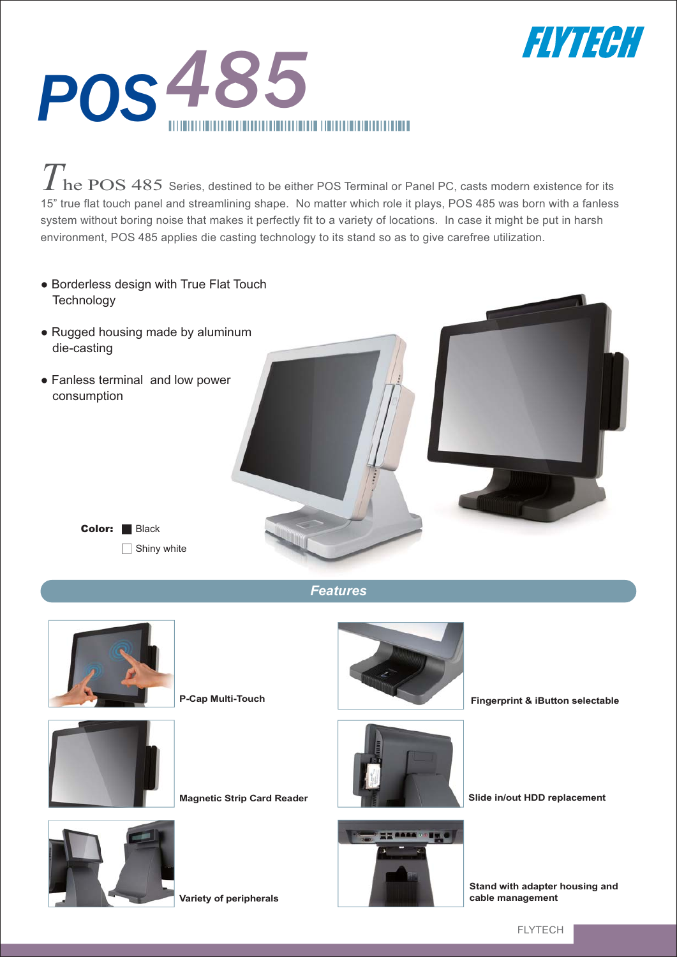



The POS 485 Series, destined to be either POS Terminal or Panel PC, casts modern existence for its 15" true flat touch panel and streamlining shape. No matter which role it plays, POS 485 was born with a fanless system without boring noise that makes it perfectly fit to a variety of locations. In case it might be put in harsh environment, POS 485 applies die casting technology to its stand so as to give carefree utilization.